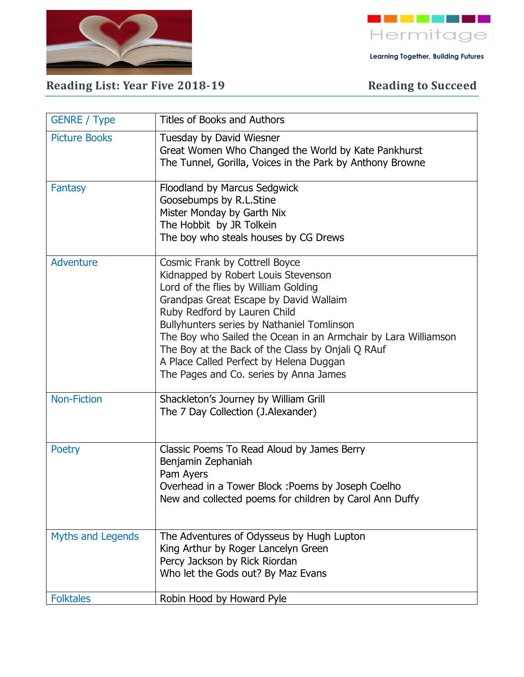



 **Learning Together, Building Futures**

## Reading List: Year Five 2018-19 **Reading to Succeed**

| <b>GENRE</b> / Type      | <b>Titles of Books and Authors</b>                                                                                                                                                                                                                                                                                                                                                                                                                |
|--------------------------|---------------------------------------------------------------------------------------------------------------------------------------------------------------------------------------------------------------------------------------------------------------------------------------------------------------------------------------------------------------------------------------------------------------------------------------------------|
| <b>Picture Books</b>     | Tuesday by David Wiesner<br>Great Women Who Changed the World by Kate Pankhurst<br>The Tunnel, Gorilla, Voices in the Park by Anthony Browne                                                                                                                                                                                                                                                                                                      |
| <b>Fantasy</b>           | Floodland by Marcus Sedgwick<br>Goosebumps by R.L.Stine<br>Mister Monday by Garth Nix<br>The Hobbit by JR Tolkein<br>The boy who steals houses by CG Drews                                                                                                                                                                                                                                                                                        |
| <b>Adventure</b>         | Cosmic Frank by Cottrell Boyce<br>Kidnapped by Robert Louis Stevenson<br>Lord of the flies by William Golding<br>Grandpas Great Escape by David Wallaim<br>Ruby Redford by Lauren Child<br>Bullyhunters series by Nathaniel Tomlinson<br>The Boy who Sailed the Ocean in an Armchair by Lara Williamson<br>The Boy at the Back of the Class by Onjali Q RAuf<br>A Place Called Perfect by Helena Duggan<br>The Pages and Co. series by Anna James |
| <b>Non-Fiction</b>       | Shackleton's Journey by William Grill<br>The 7 Day Collection (J.Alexander)                                                                                                                                                                                                                                                                                                                                                                       |
| <b>Poetry</b>            | Classic Poems To Read Aloud by James Berry<br>Benjamin Zephaniah<br>Pam Ayers<br>Overhead in a Tower Block : Poems by Joseph Coelho<br>New and collected poems for children by Carol Ann Duffy                                                                                                                                                                                                                                                    |
| <b>Myths and Legends</b> | The Adventures of Odysseus by Hugh Lupton<br>King Arthur by Roger Lancelyn Green<br>Percy Jackson by Rick Riordan<br>Who let the Gods out? By Maz Evans                                                                                                                                                                                                                                                                                           |
| <b>Folktales</b>         | Robin Hood by Howard Pyle                                                                                                                                                                                                                                                                                                                                                                                                                         |